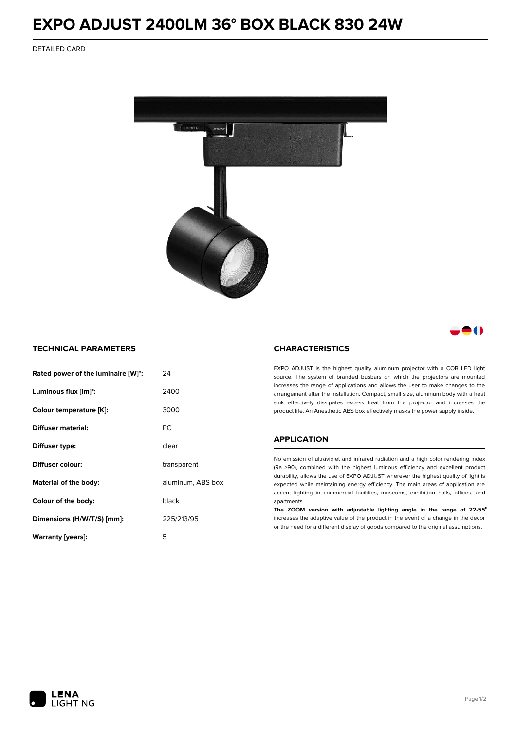# **EXPO ADJUST 2400LM 36° BOX BLACK 830 24W**

DETAILED CARD



# 80

## **TECHNICAL PARAMETERS**

| Rated power of the luminaire [W]*: | 24                |
|------------------------------------|-------------------|
| Luminous flux [lm]*:               | 2400              |
| Colour temperature [K]:            | 3000              |
| Diffuser material:                 | PC.               |
| Diffuser type:                     | clear             |
| Diffuser colour:                   | transparent       |
| Material of the body:              | aluminum, ABS box |
| Colour of the body:                | black             |
| Dimensions (H/W/T/S) [mm]:         | 225/213/95        |
| Warranty [years]:                  | 5                 |

#### **CHARACTERISTICS**

EXPO ADJUST is the highest quality aluminum projector with a COB LED light source. The system of branded busbars on which the projectors are mounted increases the range of applications and allows the user to make changes to the arrangement after the installation. Compact, small size, aluminum body with a heat sink effectively dissipates excess heat from the projector and increases the product life. An Anesthetic ABS box effectively masks the power supply inside.

### **APPLICATION**

No emission of ultraviolet and infrared radiation and a high color rendering index (Ra >90), combined with the highest luminous efficiency and excellent product durability, allows the use of EXPO ADJUST wherever the highest quality of light is expected while maintaining energy efficiency. The main areas of application are accent lighting in commercial facilities, museums, exhibition halls, offices, and apartments.

**The ZOOM version with adjustable lighting angle in the range of 22-55⁰** increases the adaptive value of the product in the event of a change in the decor or the need for a different display of goods compared to the original assumptions.